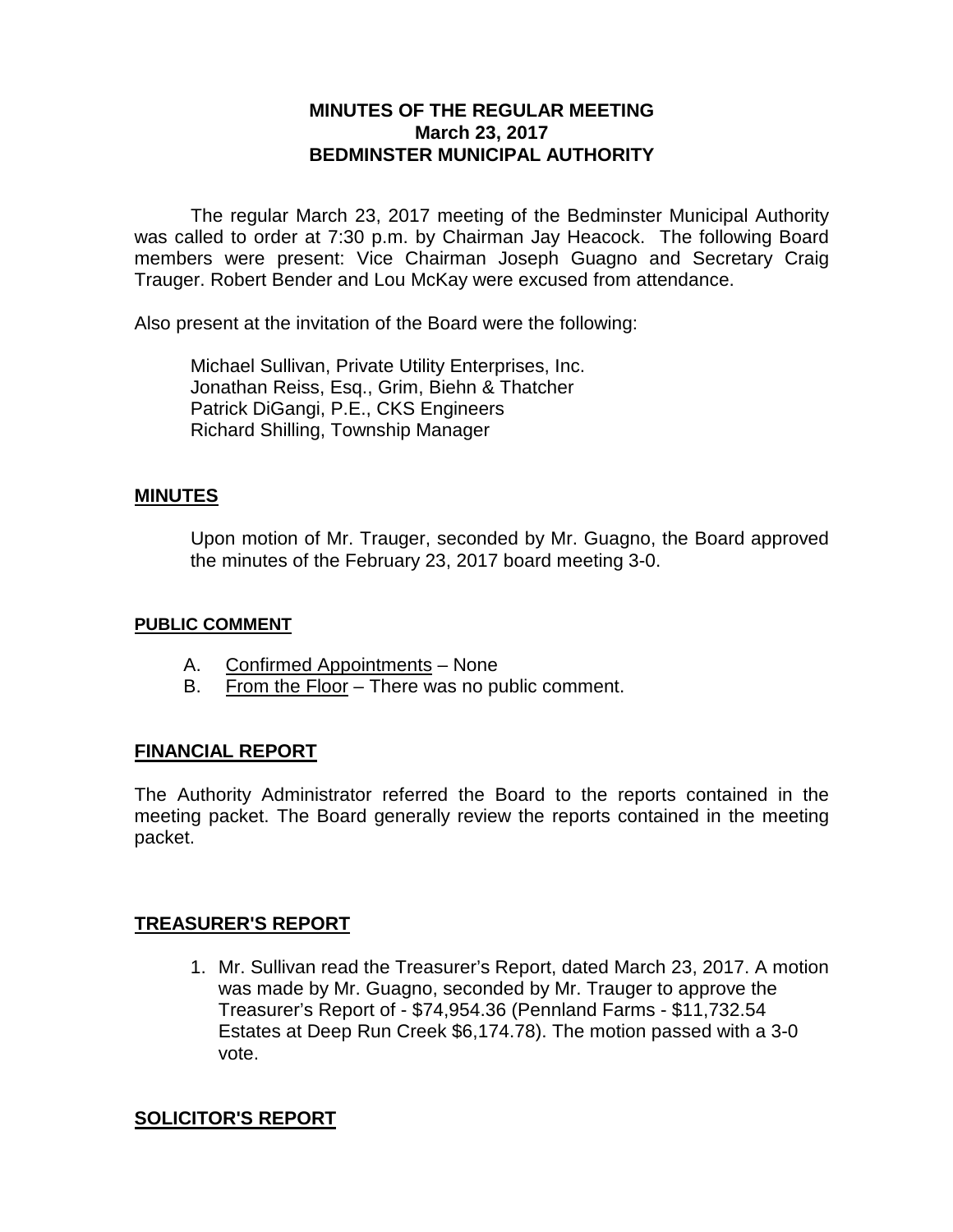# **MINUTES OF THE REGULAR MEETING March 23, 2017 BEDMINSTER MUNICIPAL AUTHORITY**

The regular March 23, 2017 meeting of the Bedminster Municipal Authority was called to order at 7:30 p.m. by Chairman Jay Heacock. The following Board members were present: Vice Chairman Joseph Guagno and Secretary Craig Trauger. Robert Bender and Lou McKay were excused from attendance.

Also present at the invitation of the Board were the following:

Michael Sullivan, Private Utility Enterprises, Inc. Jonathan Reiss, Esq., Grim, Biehn & Thatcher Patrick DiGangi, P.E., CKS Engineers Richard Shilling, Township Manager

#### **MINUTES**

Upon motion of Mr. Trauger, seconded by Mr. Guagno, the Board approved the minutes of the February 23, 2017 board meeting 3-0.

### **PUBLIC COMMENT**

- A. Confirmed Appointments None
- B. From the Floor There was no public comment.

# **FINANCIAL REPORT**

The Authority Administrator referred the Board to the reports contained in the meeting packet. The Board generally review the reports contained in the meeting packet.

# **TREASURER'S REPORT**

1. Mr. Sullivan read the Treasurer's Report, dated March 23, 2017. A motion was made by Mr. Guagno, seconded by Mr. Trauger to approve the Treasurer's Report of - \$74,954.36 (Pennland Farms - \$11,732.54 Estates at Deep Run Creek \$6,174.78). The motion passed with a 3-0 vote.

# **SOLICITOR'S REPORT**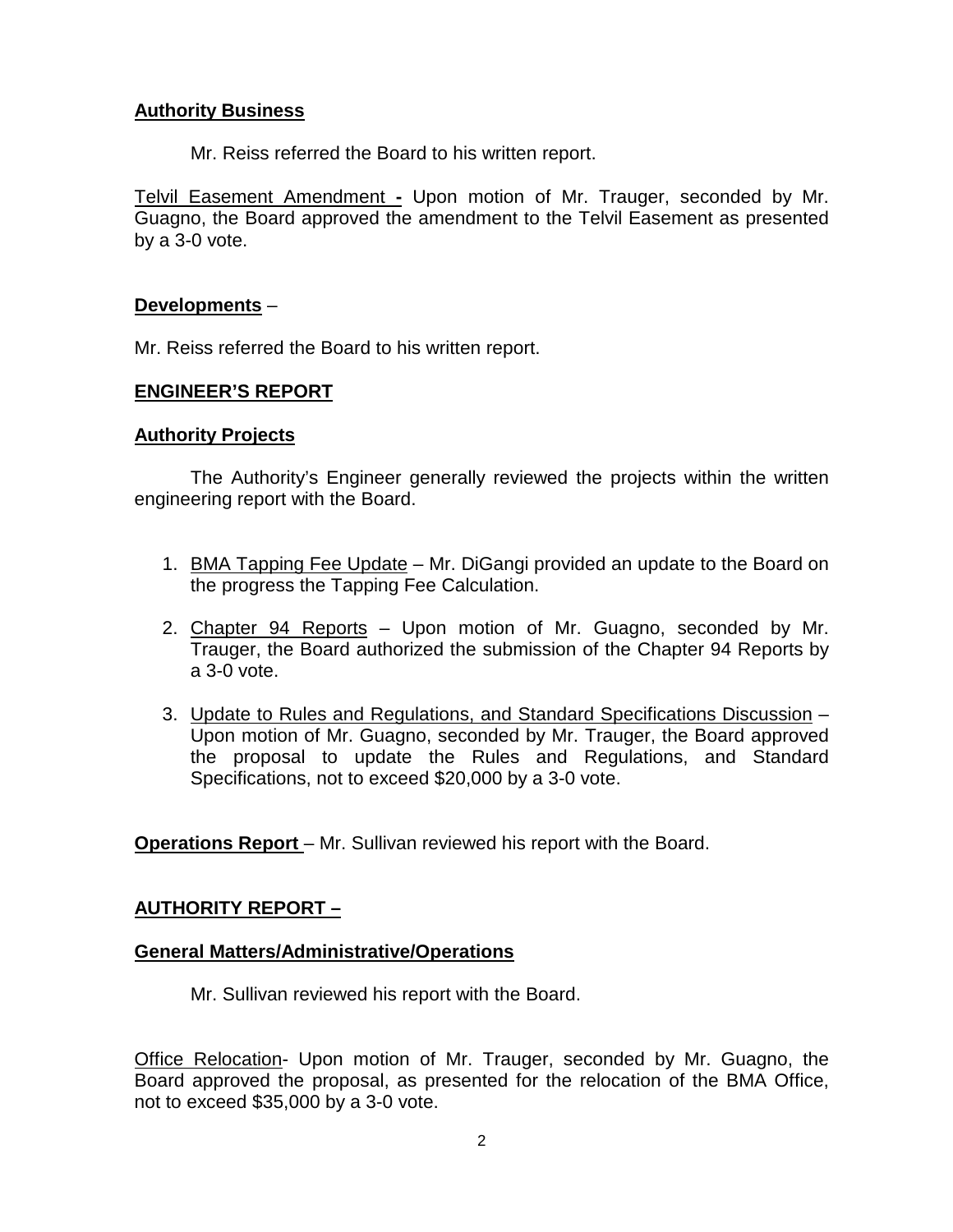# **Authority Business**

Mr. Reiss referred the Board to his written report.

Telvil Easement Amendment **-** Upon motion of Mr. Trauger, seconded by Mr. Guagno, the Board approved the amendment to the Telvil Easement as presented by a 3-0 vote.

### **Developments** –

Mr. Reiss referred the Board to his written report.

#### **ENGINEER'S REPORT**

#### **Authority Projects**

The Authority's Engineer generally reviewed the projects within the written engineering report with the Board.

- 1. BMA Tapping Fee Update Mr. DiGangi provided an update to the Board on the progress the Tapping Fee Calculation.
- 2. Chapter 94 Reports Upon motion of Mr. Guagno, seconded by Mr. Trauger, the Board authorized the submission of the Chapter 94 Reports by a 3-0 vote.
- 3. Update to Rules and Regulations, and Standard Specifications Discussion Upon motion of Mr. Guagno, seconded by Mr. Trauger, the Board approved the proposal to update the Rules and Regulations, and Standard Specifications, not to exceed \$20,000 by a 3-0 vote.

**Operations Report** – Mr. Sullivan reviewed his report with the Board.

# **AUTHORITY REPORT –**

#### **General Matters/Administrative/Operations**

Mr. Sullivan reviewed his report with the Board.

Office Relocation- Upon motion of Mr. Trauger, seconded by Mr. Guagno, the Board approved the proposal, as presented for the relocation of the BMA Office, not to exceed \$35,000 by a 3-0 vote.